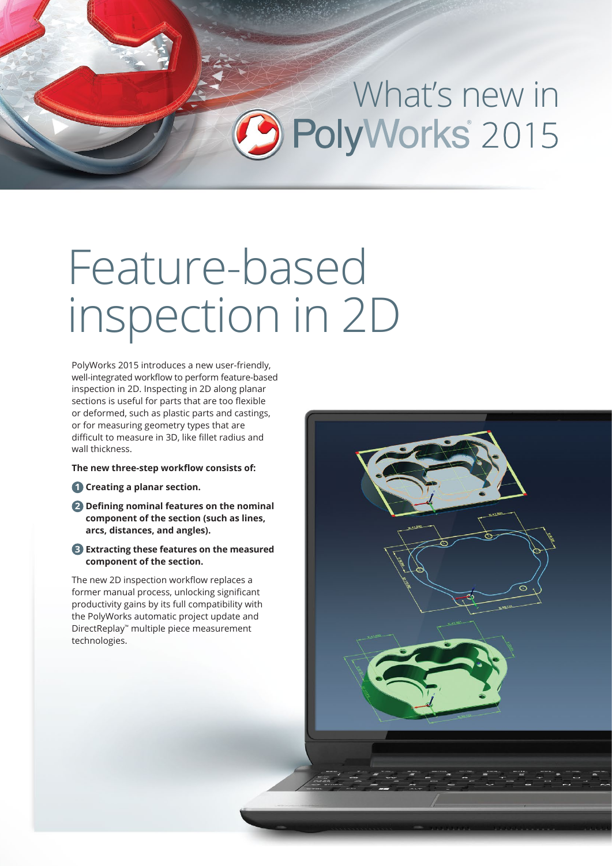# What's new in<br>PolyWorks 2015

### Feature-based inspection in 2D

PolyWorks 2015 introduces a new user-friendly, well-integrated workflow to perform feature-based inspection in 2D. Inspecting in 2D along planar sections is useful for parts that are too flexible or deformed, such as plastic parts and castings, or for measuring geometry types that are difficult to measure in 3D, like fillet radius and wall thickness.

#### **The new three-step workflow consists of:**

- **Creating a planar section. 1**
- **Defining nominal features on the nominal 2 component of the section (such as lines, arcs, distances, and angles).**
- **Extracting these features on the measured 3 component of the section.**

The new 2D inspection workflow replaces a former manual process, unlocking significant productivity gains by its full compatibility with the PolyWorks automatic project update and DirectReplay™ multiple piece measurement technologies.

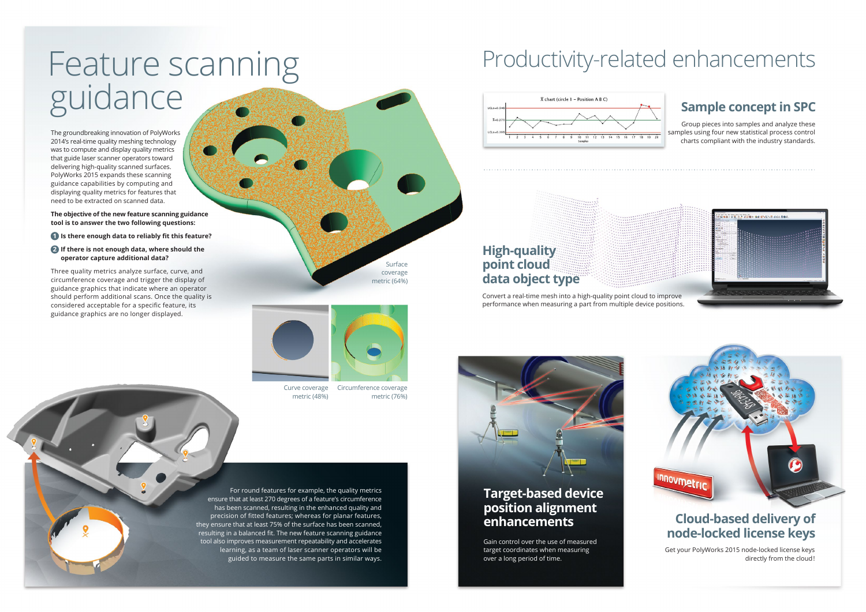Surface coverage metric (64%)

Circumference coverage metric (76%)

Curve coverage metric (48%)

## Feature scanning guidance

The groundbreaking innovation of PolyWorks 2014's real-time quality meshing technology was to compute and display quality metrics that guide laser scanner operators toward delivering high-quality scanned surfaces. PolyWorks 2015 expands these scanning guidance capabilities by computing and displaying quality metrics for features that need to be extracted on scanned data.

- **1** Is there enough data to reliably fit this feature?
- **2** If there is not enough data, where should the  **operator capture additional data?**

**The objective of the new feature scanning guidance tool is to answer the two following questions:**

Three quality metrics analyze surface, curve, and circumference coverage and trigger the display of guidance graphics that indicate where an operator should perform additional scans. Once the quality is considered acceptable for a specific feature, its guidance graphics are no longer displayed.



For round features for example, the quality metrics ensure that at least 270 degrees of a feature's circumference has been scanned, resulting in the enhanced quality and precision of fitted features; whereas for planar features, they ensure that at least 75% of the surface has been scanned, resulting in a balanced fit. The new feature scanning guidance tool also improves measurement repeatability and accelerates learning, as a team of laser scanner operators will be guided to measure the same parts in similar ways.

Productivity-related enhancements



### **Sample concept in SPC**

Group pieces into samples and analyze these samples using four new statistical process control charts compliant with the industry standards.





#### **High-quality point cloud data object type**

Convert a real-time mesh into a high-quality point cloud to improve performance when measuring a part from multiple device positions.



### **Cloud-based delivery of node-locked license keys**

Get your PolyWorks 2015 node-locked license keys directly from the cloud!

#### **Target-based device position alignment enhancements**

Gain control over the use of measured target coordinates when measuring over a long period of time.